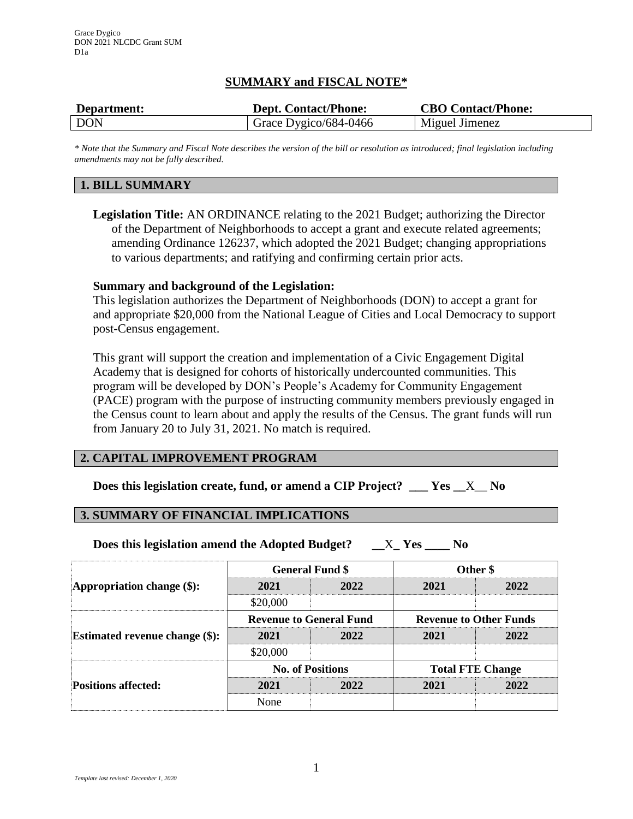# **SUMMARY and FISCAL NOTE\***

| Department: | <b>Dept. Contact/Phone:</b> | <b>CBO Contact/Phone:</b> |
|-------------|-----------------------------|---------------------------|
| <b>DON</b>  | Grace Dygico/684-0466       | Miguel Jimenez            |

*\* Note that the Summary and Fiscal Note describes the version of the bill or resolution as introduced; final legislation including amendments may not be fully described.*

## **1. BILL SUMMARY**

**Legislation Title:** AN ORDINANCE relating to the 2021 Budget; authorizing the Director of the Department of Neighborhoods to accept a grant and execute related agreements; amending Ordinance 126237, which adopted the 2021 Budget; changing appropriations to various departments; and ratifying and confirming certain prior acts.

### **Summary and background of the Legislation:**

This legislation authorizes the Department of Neighborhoods (DON) to accept a grant for and appropriate \$20,000 from the National League of Cities and Local Democracy to support post-Census engagement.

This grant will support the creation and implementation of a Civic Engagement Digital Academy that is designed for cohorts of historically undercounted communities. This program will be developed by DON's People's Academy for Community Engagement (PACE) program with the purpose of instructing community members previously engaged in the Census count to learn about and apply the results of the Census. The grant funds will run from January 20 to July 31, 2021. No match is required.

# **2. CAPITAL IMPROVEMENT PROGRAM**

**Does this legislation create, fund, or amend a CIP Project? \_\_\_ Yes \_\_**X\_\_ **No**

## **3. SUMMARY OF FINANCIAL IMPLICATIONS**

**Does this legislation amend the Adopted Budget? \_\_**X**\_ Yes \_\_\_\_ No**

| Appropriation change $(\$)$ :         | <b>General Fund \$</b>         |      | Other \$                      |      |
|---------------------------------------|--------------------------------|------|-------------------------------|------|
|                                       | 2021                           | 2022 | 2021                          | 2022 |
|                                       | \$20,000                       |      |                               |      |
| <b>Estimated revenue change (\$):</b> | <b>Revenue to General Fund</b> |      | <b>Revenue to Other Funds</b> |      |
|                                       | 2021                           | 2022 | 2021                          | 2022 |
|                                       | \$20,000                       |      |                               |      |
| <b>Positions affected:</b>            | <b>No. of Positions</b>        |      | <b>Total FTE Change</b>       |      |
|                                       | 2021                           | 2022 | 2021                          | 2022 |
|                                       | None                           |      |                               |      |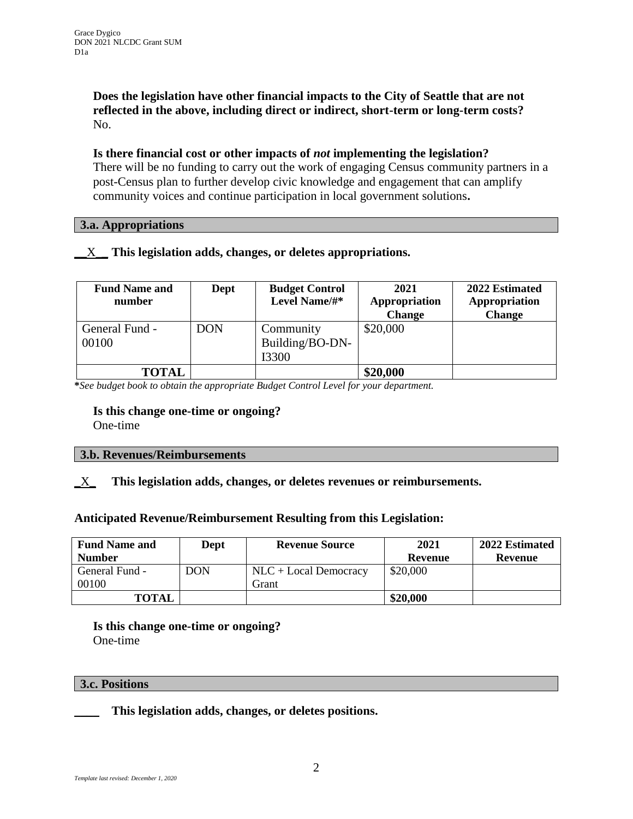**Does the legislation have other financial impacts to the City of Seattle that are not reflected in the above, including direct or indirect, short-term or long-term costs?** No.

**Is there financial cost or other impacts of** *not* **implementing the legislation?** There will be no funding to carry out the work of engaging Census community partners in a post-Census plan to further develop civic knowledge and engagement that can amplify community voices and continue participation in local government solutions**.** 

### **3.a. Appropriations**

# **\_\_**X\_**\_ This legislation adds, changes, or deletes appropriations.**

| <b>Fund Name and</b><br>number | Dept       | <b>Budget Control</b><br>Level Name/#* | 2021<br>Appropriation | 2022 Estimated<br>Appropriation |
|--------------------------------|------------|----------------------------------------|-----------------------|---------------------------------|
|                                |            |                                        | <b>Change</b>         | <b>Change</b>                   |
| General Fund -                 | <b>DON</b> | Community                              | \$20,000              |                                 |
| 00100                          |            | Building/BO-DN-                        |                       |                                 |
|                                |            | I3300                                  |                       |                                 |
| <b>TOTAL</b>                   |            |                                        | \$20,000              |                                 |

**\****See budget book to obtain the appropriate Budget Control Level for your department.*

# **Is this change one-time or ongoing?**

One-time

### **3.b. Revenues/Reimbursements**

## **\_**X**\_ This legislation adds, changes, or deletes revenues or reimbursements.**

## **Anticipated Revenue/Reimbursement Resulting from this Legislation:**

| <b>Fund Name and</b> | Dept       | <b>Revenue Source</b>  | 2021     | 2022 Estimated |
|----------------------|------------|------------------------|----------|----------------|
| <b>Number</b>        |            |                        | Revenue  | Revenue        |
| General Fund -       | <b>DON</b> | $NLC + Local Demoracy$ | \$20,000 |                |
| 00100                |            | Grant                  |          |                |
| TOTAL                |            |                        | \$20,000 |                |

**Is this change one-time or ongoing?** One-time

### **3.c. Positions**

\_\_\_\_ **This legislation adds, changes, or deletes positions.**